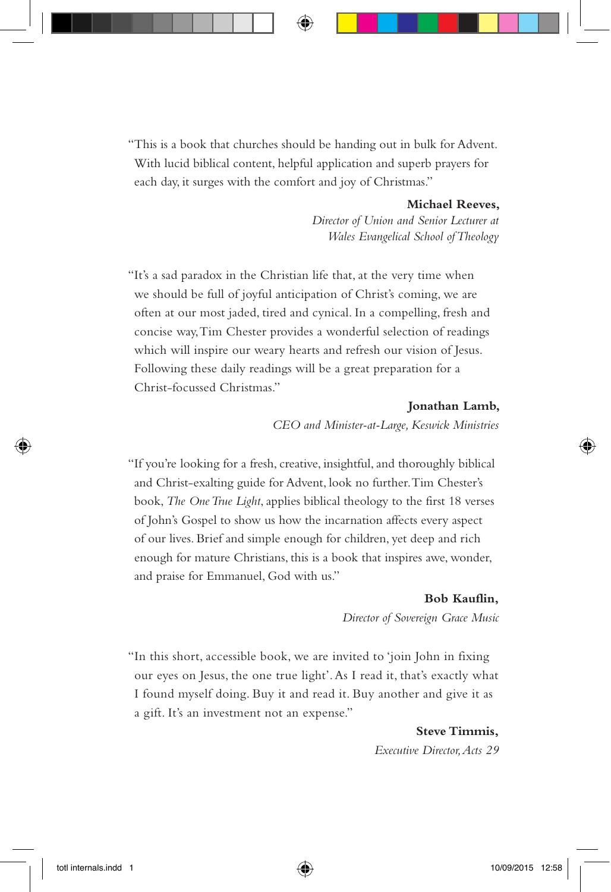"This is a book that churches should be handing out in bulk for Advent. With lucid biblical content, helpful application and superb prayers for each day, it surges with the comfort and joy of Christmas."

#### **Michael Reeves,**

*Director of Union and Senior Lecturer at Wales Evangelical School of Theology*

"It's a sad paradox in the Christian life that, at the very time when we should be full of joyful anticipation of Christ's coming, we are often at our most jaded, tired and cynical. In a compelling, fresh and concise way, Tim Chester provides a wonderful selection of readings which will inspire our weary hearts and refresh our vision of Jesus. Following these daily readings will be a great preparation for a Christ-focussed Christmas."

#### **Jonathan Lamb,**

*CEO and Minister-at-Large, Keswick Ministries*

"If you're looking for a fresh, creative, insightful, and thoroughly biblical and Christ-exalting guide for Advent, look no further. Tim Chester's book, *The One True Light*, applies biblical theology to the first 18 verses of John's Gospel to show us how the incarnation affects every aspect of our lives. Brief and simple enough for children, yet deep and rich enough for mature Christians, this is a book that inspires awe, wonder, and praise for Emmanuel, God with us."

#### **Bob Kauflin,**

*Director of Sovereign Grace Music*

"In this short, accessible book, we are invited to 'join John in fixing our eyes on Jesus, the one true light'. As I read it, that's exactly what I found myself doing. Buy it and read it. Buy another and give it as a gift. It's an investment not an expense."

> **Steve Timmis,** *Executive Director, Acts 29*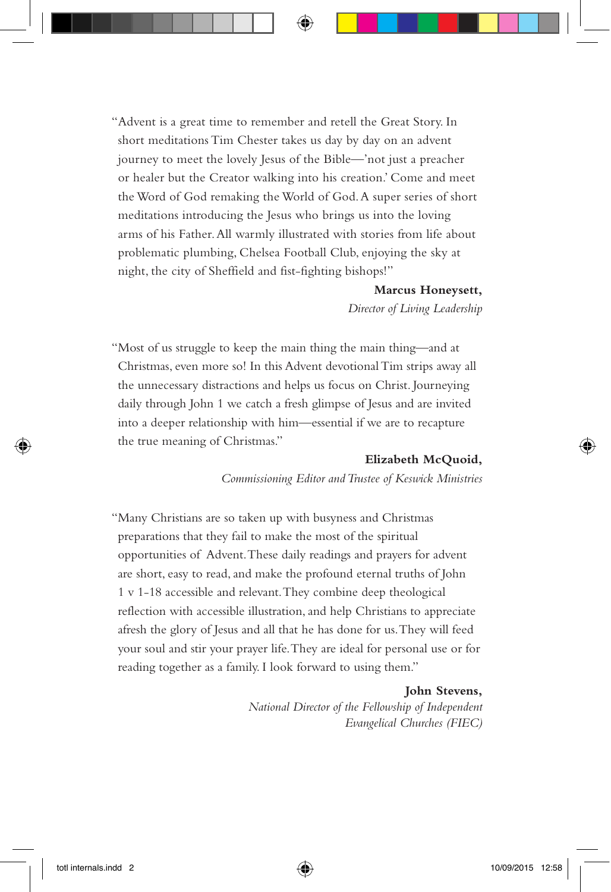"Advent is a great time to remember and retell the Great Story. In short meditations Tim Chester takes us day by day on an advent journey to meet the lovely Jesus of the Bible—'not just a preacher or healer but the Creator walking into his creation.' Come and meet the Word of God remaking the World of God. A super series of short meditations introducing the Jesus who brings us into the loving arms of his Father. All warmly illustrated with stories from life about problematic plumbing, Chelsea Football Club, enjoying the sky at night, the city of Sheffield and fist-fighting bishops!"

#### **Marcus Honeysett,**

*Director of Living Leadership*

"Most of us struggle to keep the main thing the main thing—and at Christmas, even more so! In this Advent devotional Tim strips away all the unnecessary distractions and helps us focus on Christ. Journeying daily through John 1 we catch a fresh glimpse of Jesus and are invited into a deeper relationship with him—essential if we are to recapture the true meaning of Christmas."

#### **Elizabeth McQuoid,**

*Commissioning Editor and Trustee of Keswick Ministries*

"Many Christians are so taken up with busyness and Christmas preparations that they fail to make the most of the spiritual opportunities of Advent. These daily readings and prayers for advent are short, easy to read, and make the profound eternal truths of John 1 v 1-18 accessible and relevant. They combine deep theological reflection with accessible illustration, and help Christians to appreciate afresh the glory of Jesus and all that he has done for us. They will feed your soul and stir your prayer life. They are ideal for personal use or for reading together as a family. I look forward to using them."

#### **John Stevens,**

*National Director of the Fellowship of Independent Evangelical Churches (FIEC)*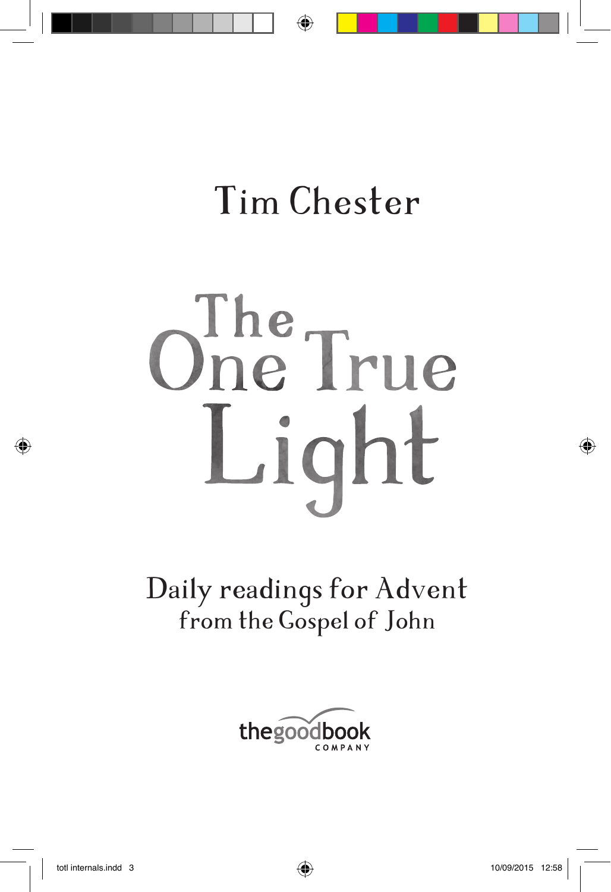# Ohe True Light

Daily readings for Advent from the Gospel of John

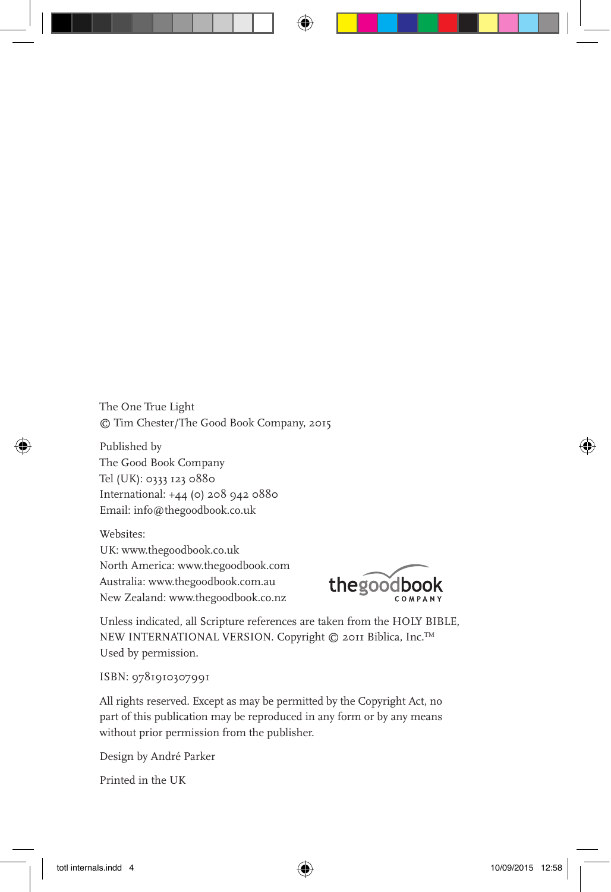The One True Light © Tim Chester/The Good Book Company, 2015

Published by The Good Book Company Tel (UK): 0333 123 0880 International: +44 (0) 208 942 0880 Email: info@thegoodbook.co.uk

Websites: UK: www.thegoodbook.co.uk North America: www.thegoodbook.com Australia: www.thegoodbook.com.au New Zealand: www.thegoodbook.co.nz



Unless indicated, all Scripture references are taken from the HOLY BIBLE, NEW INTERNATIONAL VERSION. Copyright © 2011 Biblica, Inc.TM Used by permission.

ISBN: 9781910307991

All rights reserved. Except as may be permitted by the Copyright Act, no part of this publication may be reproduced in any form or by any means without prior permission from the publisher.

Design by André Parker

Printed in the UK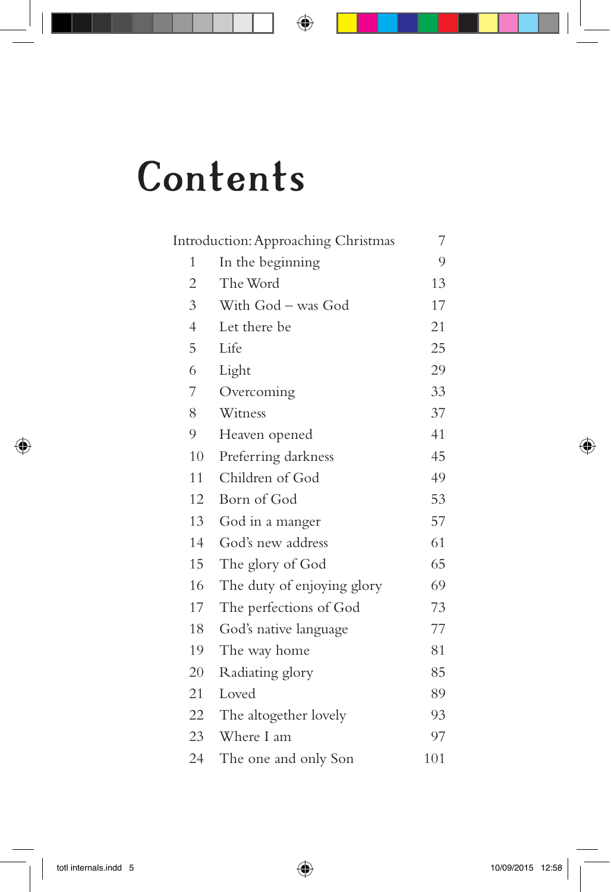## **Contents**

| Introduction: Approaching Christmas |                            | 7   |
|-------------------------------------|----------------------------|-----|
| 1                                   | In the beginning           | 9   |
| 2                                   | The Word                   | 13  |
| 3                                   | With God - was God         | 17  |
| $\overline{4}$                      | Let there be               | 21  |
| 5                                   | Life                       | 25  |
| 6                                   | Light                      | 29  |
| 7                                   | Overcoming                 | 33  |
| 8                                   | Witness                    | 37  |
| 9                                   | Heaven opened              | 41  |
| 10                                  | Preferring darkness        | 45  |
| 11                                  | Children of God            | 49  |
| 12                                  | Born of God                | 53  |
| 13                                  | God in a manger            | 57  |
| 14                                  | God's new address          | 61  |
| 15                                  | The glory of God           | 65  |
| 16                                  | The duty of enjoying glory | 69  |
| 17                                  | The perfections of God     | 73  |
| 18                                  | God's native language      | 77  |
| 19                                  | The way home               | 81  |
| 20                                  | Radiating glory            | 85  |
| 21                                  | Loved                      | 89  |
| 22                                  | The altogether lovely      | 93  |
| 23                                  | Where I am                 | 97  |
| 24                                  | The one and only Son       | 101 |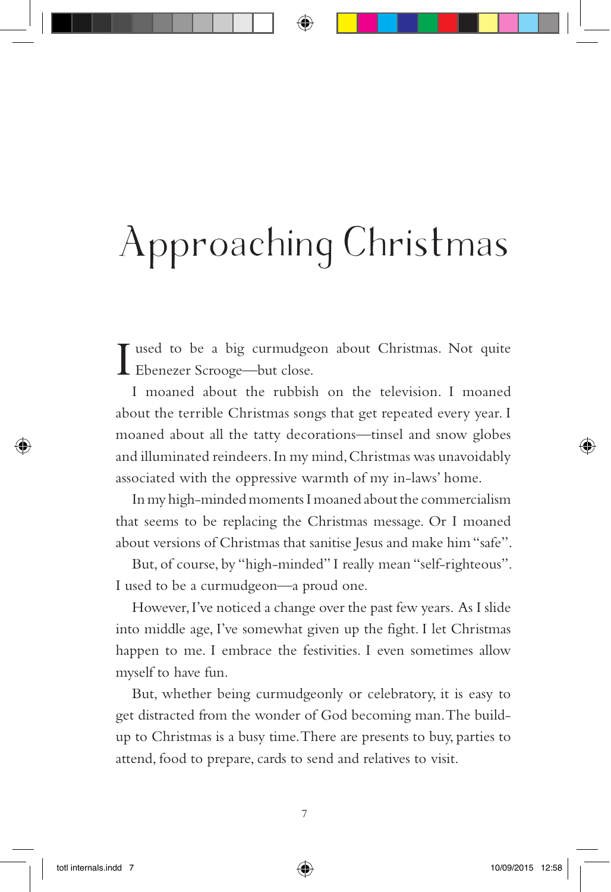## Approaching Christmas

T used to be a big curmudgeon about Christmas. Not quite Ebenezer Scrooge—but close.

I moaned about the rubbish on the television. I moaned about the terrible Christmas songs that get repeated every year. I moaned about all the tatty decorations—tinsel and snow globes and illuminated reindeers. In my mind, Christmas was unavoidably associated with the oppressive warmth of my in-laws' home.

In my high-minded moments I moaned about the commercialism that seems to be replacing the Christmas message. Or I moaned about versions of Christmas that sanitise Jesus and make him "safe".

But, of course, by "high-minded" I really mean "self-righteous". I used to be a curmudgeon—a proud one.

However, I've noticed a change over the past few years. As I slide into middle age, I've somewhat given up the fight. I let Christmas happen to me. I embrace the festivities. I even sometimes allow myself to have fun.

But, whether being curmudgeonly or celebratory, it is easy to get distracted from the wonder of God becoming man. The buildup to Christmas is a busy time. There are presents to buy, parties to attend, food to prepare, cards to send and relatives to visit.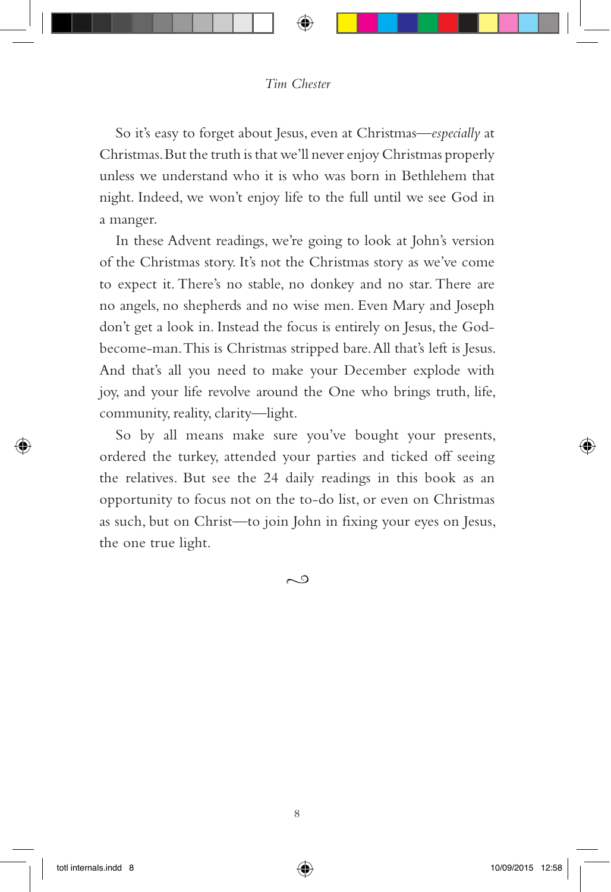So it's easy to forget about Jesus, even at Christmas—*especially* at Christmas. But the truth is that we'll never enjoy Christmas properly unless we understand who it is who was born in Bethlehem that night. Indeed, we won't enjoy life to the full until we see God in a manger.

In these Advent readings, we're going to look at John's version of the Christmas story. It's not the Christmas story as we've come to expect it. There's no stable, no donkey and no star. There are no angels, no shepherds and no wise men. Even Mary and Joseph don't get a look in. Instead the focus is entirely on Jesus, the Godbecome-man. This is Christmas stripped bare. All that's left is Jesus. And that's all you need to make your December explode with joy, and your life revolve around the One who brings truth, life, community, reality, clarity—light.

So by all means make sure you've bought your presents, ordered the turkey, attended your parties and ticked off seeing the relatives. But see the 24 daily readings in this book as an opportunity to focus not on the to-do list, or even on Christmas as such, but on Christ—to join John in fixing your eyes on Jesus, the one true light.

 $\sim$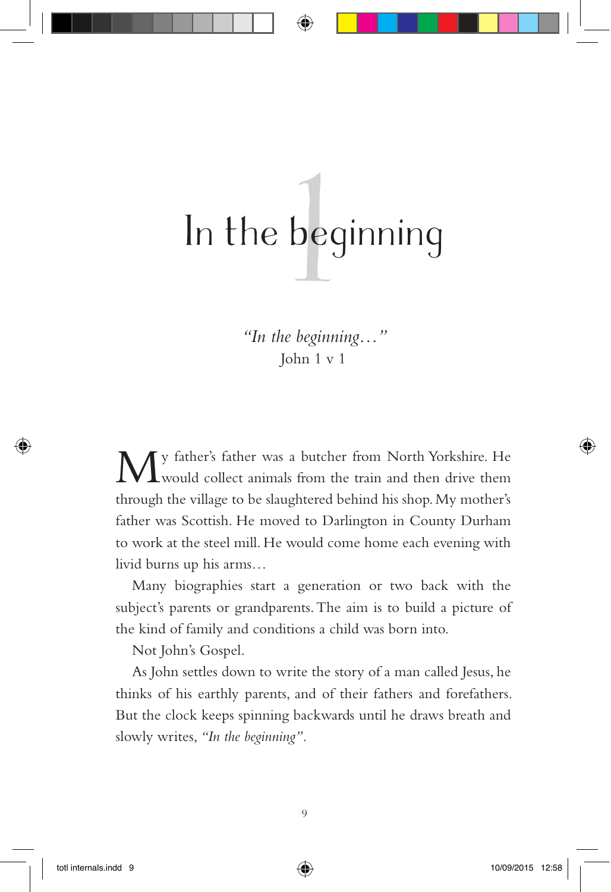## bed 1 In the beginning

*"In the beginning…"* John 1 v 1

My father's father was a butcher from North Yorkshire. He would collect animals from the train and then drive them through the village to be slaughtered behind his shop. My mother's father was Scottish. He moved to Darlington in County Durham to work at the steel mill. He would come home each evening with livid burns up his arms…

Many biographies start a generation or two back with the subject's parents or grandparents. The aim is to build a picture of the kind of family and conditions a child was born into.

Not John's Gospel.

As John settles down to write the story of a man called Jesus, he thinks of his earthly parents, and of their fathers and forefathers. But the clock keeps spinning backwards until he draws breath and slowly writes, *"In the beginning".*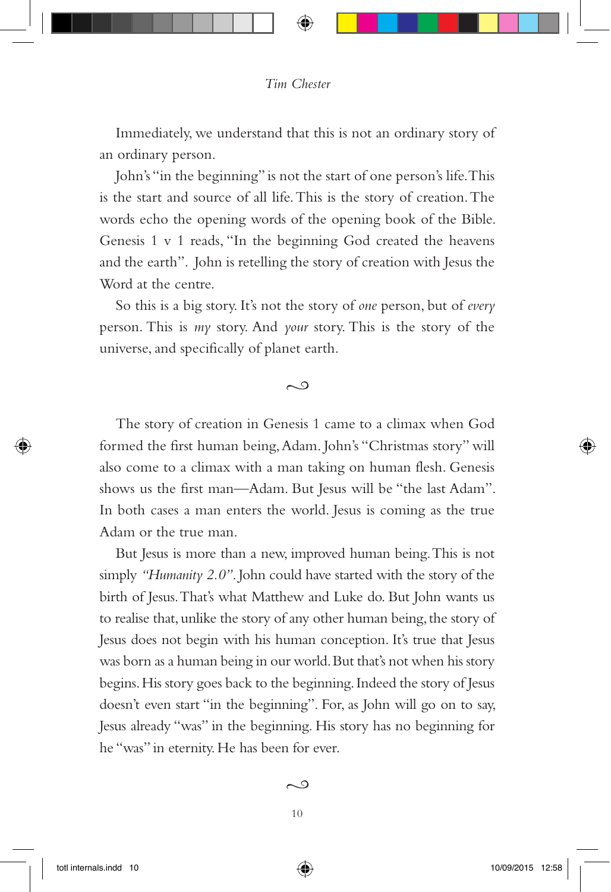Immediately, we understand that this is not an ordinary story of an ordinary person.

John's "in the beginning" is not the start of one person's life. This is the start and source of all life. This is the story of creation. The words echo the opening words of the opening book of the Bible. Genesis 1 v 1 reads, "In the beginning God created the heavens and the earth". John is retelling the story of creation with Jesus the Word at the centre.

So this is a big story. It's not the story of *one* person, but of *every* person. This is *my* story. And *your* story. This is the story of the universe, and specifically of planet earth.

#### $\sim$

The story of creation in Genesis 1 came to a climax when God formed the first human being, Adam. John's "Christmas story" will also come to a climax with a man taking on human flesh. Genesis shows us the first man—Adam. But Jesus will be "the last Adam". In both cases a man enters the world. Jesus is coming as the true Adam or the true man.

But Jesus is more than a new, improved human being. This is not simply *"Humanity 2.0"*. John could have started with the story of the birth of Jesus. That's what Matthew and Luke do. But John wants us to realise that, unlike the story of any other human being, the story of Jesus does not begin with his human conception. It's true that Jesus was born as a human being in our world. But that's not when his story begins. His story goes back to the beginning. Indeed the story of Jesus doesn't even start "in the beginning". For, as John will go on to say, Jesus already "was" in the beginning. His story has no beginning for he "was" in eternity. He has been for ever.

#### $\sim$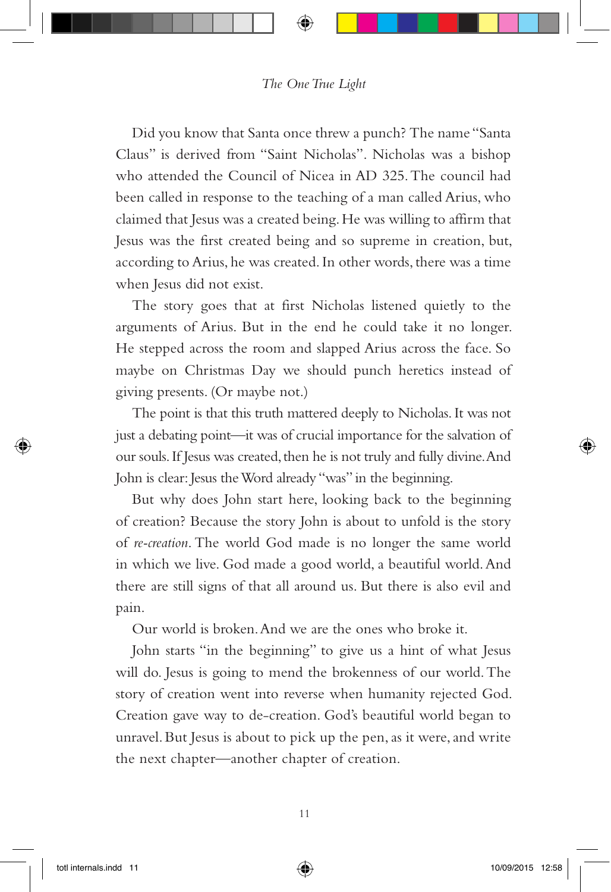#### *The One True Light*

Did you know that Santa once threw a punch? The name "Santa Claus" is derived from "Saint Nicholas". Nicholas was a bishop who attended the Council of Nicea in AD 325. The council had been called in response to the teaching of a man called Arius, who claimed that Jesus was a created being. He was willing to affirm that Jesus was the first created being and so supreme in creation, but, according to Arius, he was created. In other words, there was a time when Jesus did not exist.

The story goes that at first Nicholas listened quietly to the arguments of Arius. But in the end he could take it no longer. He stepped across the room and slapped Arius across the face. So maybe on Christmas Day we should punch heretics instead of giving presents. (Or maybe not.)

The point is that this truth mattered deeply to Nicholas. It was not just a debating point—it was of crucial importance for the salvation of our souls. If Jesus was created, then he is not truly and fully divine. And John is clear: Jesus the Word already "was" in the beginning.

But why does John start here, looking back to the beginning of creation? Because the story John is about to unfold is the story of *re-creation*. The world God made is no longer the same world in which we live. God made a good world, a beautiful world. And there are still signs of that all around us. But there is also evil and pain.

Our world is broken. And we are the ones who broke it.

John starts "in the beginning" to give us a hint of what Jesus will do. Jesus is going to mend the brokenness of our world. The story of creation went into reverse when humanity rejected God. Creation gave way to de-creation. God's beautiful world began to unravel. But Jesus is about to pick up the pen, as it were, and write the next chapter—another chapter of creation.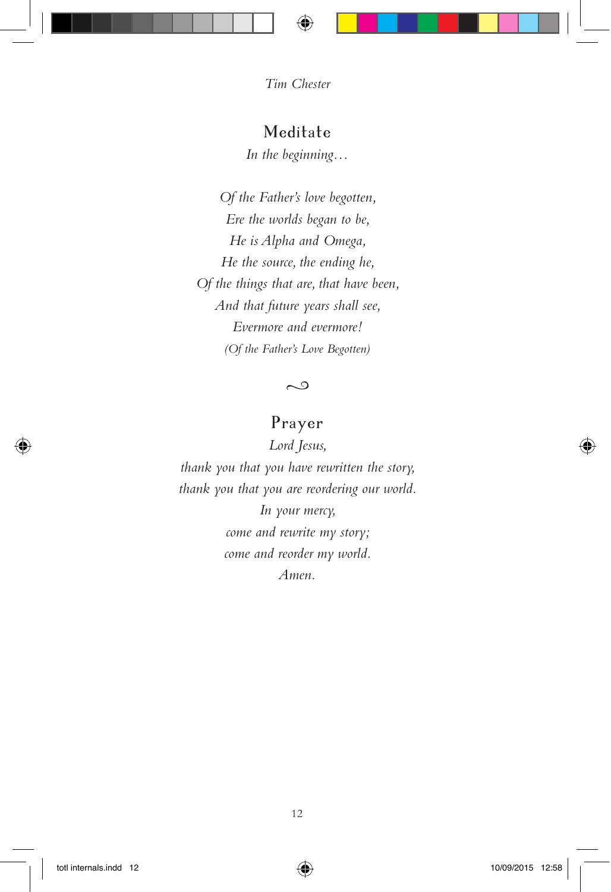#### Meditate

*In the beginning…*

*Of the Father's love begotten, Ere the worlds began to be, He is Alpha and Omega, He the source, the ending he, Of the things that are, that have been, And that future years shall see, Evermore and evermore! (Of the Father's Love Begotten)*

 $\sim$ 

#### Prayer

*Lord Jesus, thank you that you have rewritten the story, thank you that you are reordering our world. In your mercy, come and rewrite my story; come and reorder my world. Amen.*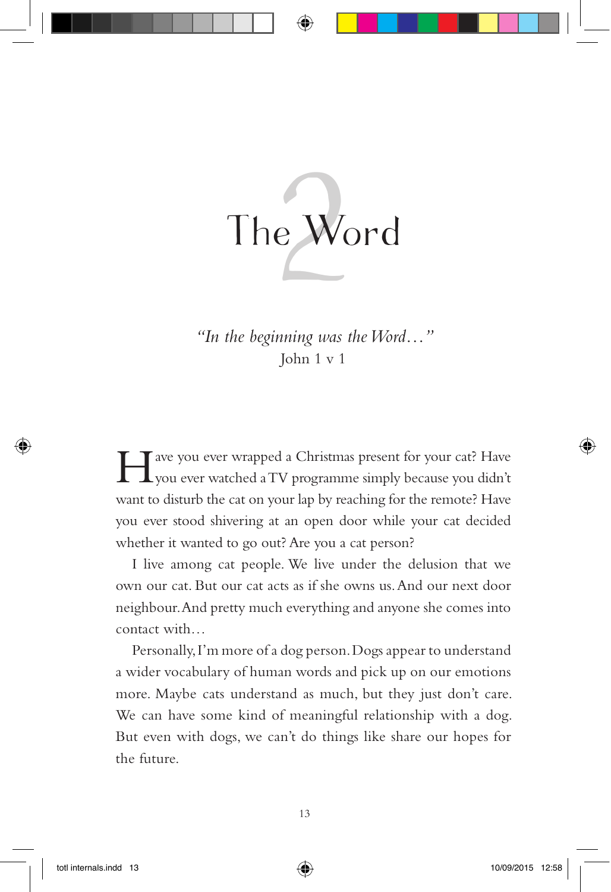

*"In the beginning was the Word…"* John 1 v 1

I ave you ever wrapped a Christmas present for your cat? Have you ever watched a TV programme simply because you didn't want to disturb the cat on your lap by reaching for the remote? Have you ever stood shivering at an open door while your cat decided whether it wanted to go out? Are you a cat person?

I live among cat people. We live under the delusion that we own our cat. But our cat acts as if she owns us. And our next door neighbour. And pretty much everything and anyone she comes into contact with…

Personally, I'm more of a dog person. Dogs appear to understand a wider vocabulary of human words and pick up on our emotions more. Maybe cats understand as much, but they just don't care. We can have some kind of meaningful relationship with a dog. But even with dogs, we can't do things like share our hopes for the future.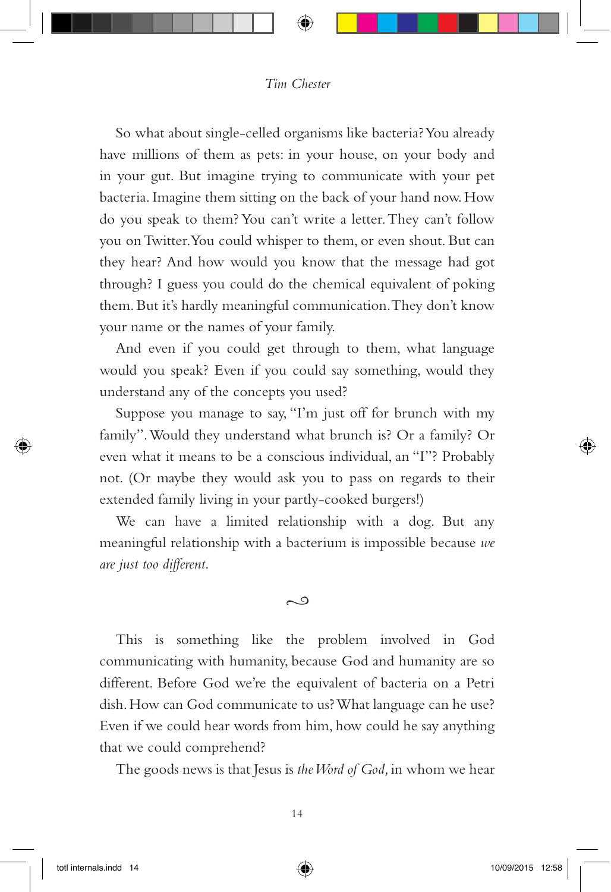So what about single-celled organisms like bacteria? You already have millions of them as pets: in your house, on your body and in your gut. But imagine trying to communicate with your pet bacteria. Imagine them sitting on the back of your hand now. How do you speak to them? You can't write a letter. They can't follow you on Twitter. You could whisper to them, or even shout. But can they hear? And how would you know that the message had got through? I guess you could do the chemical equivalent of poking them. But it's hardly meaningful communication. They don't know your name or the names of your family.

And even if you could get through to them, what language would you speak? Even if you could say something, would they understand any of the concepts you used?

Suppose you manage to say, "I'm just off for brunch with my family". Would they understand what brunch is? Or a family? Or even what it means to be a conscious individual, an "I"? Probably not. (Or maybe they would ask you to pass on regards to their extended family living in your partly-cooked burgers!)

We can have a limited relationship with a dog. But any meaningful relationship with a bacterium is impossible because *we are just too different*.

#### $\sim$

This is something like the problem involved in God communicating with humanity, because God and humanity are so different. Before God we're the equivalent of bacteria on a Petri dish. How can God communicate to us? What language can he use? Even if we could hear words from him, how could he say anything that we could comprehend?

The goods news is that Jesus is *the Word of God,* in whom we hear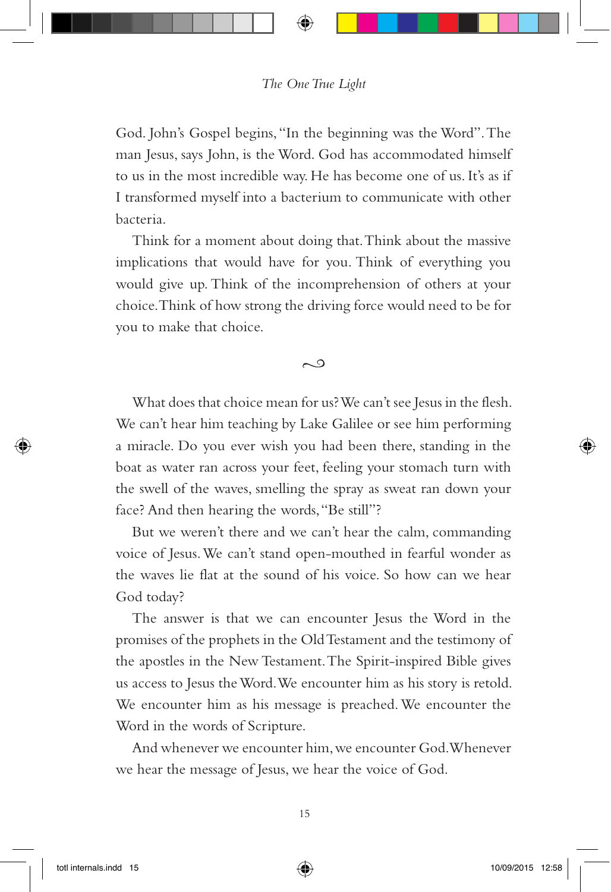God. John's Gospel begins, "In the beginning was the Word". The man Jesus, says John, is the Word. God has accommodated himself to us in the most incredible way. He has become one of us. It's as if I transformed myself into a bacterium to communicate with other bacteria.

Think for a moment about doing that. Think about the massive implications that would have for you. Think of everything you would give up. Think of the incomprehension of others at your choice. Think of how strong the driving force would need to be for you to make that choice.

#### $\sim$

What does that choice mean for us? We can't see Jesus in the flesh. We can't hear him teaching by Lake Galilee or see him performing a miracle. Do you ever wish you had been there, standing in the boat as water ran across your feet, feeling your stomach turn with the swell of the waves, smelling the spray as sweat ran down your face? And then hearing the words, "Be still"?

But we weren't there and we can't hear the calm, commanding voice of Jesus. We can't stand open-mouthed in fearful wonder as the waves lie flat at the sound of his voice. So how can we hear God today?

The answer is that we can encounter Jesus the Word in the promises of the prophets in the Old Testament and the testimony of the apostles in the New Testament. The Spirit-inspired Bible gives us access to Jesus the Word. We encounter him as his story is retold. We encounter him as his message is preached. We encounter the Word in the words of Scripture.

And whenever we encounter him, we encounter God. Whenever we hear the message of Jesus, we hear the voice of God.